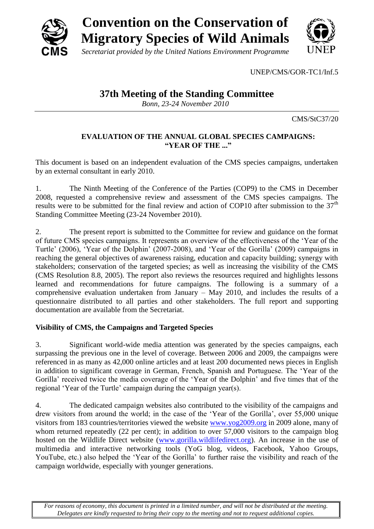

UNEP/CMS/GOR-TC1/Inf.5

# **37th Meeting of the Standing Committee**

*Bonn, 23-24 November 2010*

CMS/StC37/20

## **EVALUATION OF THE ANNUAL GLOBAL SPECIES CAMPAIGNS: "YEAR OF THE ..."**

This document is based on an independent evaluation of the CMS species campaigns, undertaken by an external consultant in early 2010.

1. The Ninth Meeting of the Conference of the Parties (COP9) to the CMS in December 2008, requested a comprehensive review and assessment of the CMS species campaigns. The results were to be submitted for the final review and action of COP10 after submission to the  $37<sup>th</sup>$ Standing Committee Meeting (23-24 November 2010).

2. The present report is submitted to the Committee for review and guidance on the format of future CMS species campaigns. It represents an overview of the effectiveness of the "Year of the Turtle" (2006), "Year of the Dolphin" (2007-2008), and "Year of the Gorilla" (2009) campaigns in reaching the general objectives of awareness raising, education and capacity building; synergy with stakeholders; conservation of the targeted species; as well as increasing the visibility of the CMS (CMS Resolution 8.8, 2005). The report also reviews the resources required and highlights lessons learned and recommendations for future campaigns. The following is a summary of a comprehensive evaluation undertaken from January – May 2010, and includes the results of a questionnaire distributed to all parties and other stakeholders. The full report and supporting documentation are available from the Secretariat.

# **Visibility of CMS, the Campaigns and Targeted Species**

3. Significant world-wide media attention was generated by the species campaigns, each surpassing the previous one in the level of coverage. Between 2006 and 2009, the campaigns were referenced in as many as 42,000 online articles and at least 200 documented news pieces in English in addition to significant coverage in German, French, Spanish and Portuguese. The "Year of the Gorilla' received twice the media coverage of the 'Year of the Dolphin' and five times that of the regional 'Year of the Turtle' campaign during the campaign year(s).

4. The dedicated campaign websites also contributed to the visibility of the campaigns and drew visitors from around the world; in the case of the "Year of the Gorilla", over 55,000 unique visitors from 183 countries/territories viewed the website [www.yog2009.org](http://www.yog2009.org/) in 2009 alone, many of whom returned repeatedly (22 per cent); in addition to over 57,000 visitors to the campaign blog hosted on the Wildlife Direct website [\(www.gorilla.wildlifedirect.org\)](http://www.gorilla.wildlifedirect.org/). An increase in the use of multimedia and interactive networking tools (YoG blog, videos, Facebook, Yahoo Groups, YouTube, etc.) also helped the "Year of the Gorilla" to further raise the visibility and reach of the campaign worldwide, especially with younger generations.

*For reasons of economy, this document is printed in a limited number, and will not be distributed at the meeting. Delegates are kindly requested to bring their copy to the meeting and not to request additional copies.*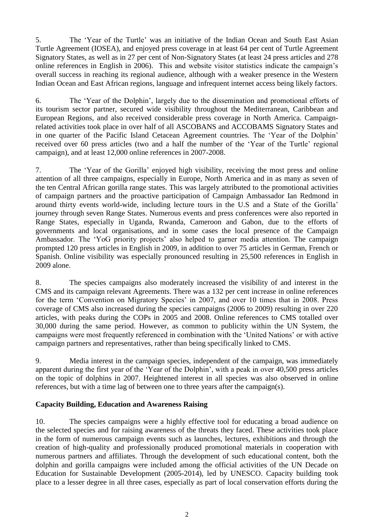5. The "Year of the Turtle" was an initiative of the Indian Ocean and South East Asian Turtle Agreement (IOSEA), and enjoyed press coverage in at least 64 per cent of Turtle Agreement Signatory States, as well as in 27 per cent of Non-Signatory States (at least 24 press articles and 278 online references in English in 2006). This and website visitor statistics indicate the campaign"s overall success in reaching its regional audience, although with a weaker presence in the Western Indian Ocean and East African regions, language and infrequent internet access being likely factors.

6. The "Year of the Dolphin", largely due to the dissemination and promotional efforts of its tourism sector partner, secured wide visibility throughout the Mediterranean, Caribbean and European Regions, and also received considerable press coverage in North America. Campaignrelated activities took place in over half of all ASCOBANS and ACCOBAMS Signatory States and in one quarter of the Pacific Island Cetacean Agreement countries. The "Year of the Dolphin" received over 60 press articles (two and a half the number of the 'Year of the Turtle' regional campaign), and at least 12,000 online references in 2007-2008.

7. The "Year of the Gorilla" enjoyed high visibility, receiving the most press and online attention of all three campaigns, especially in Europe, North America and in as many as seven of the ten Central African gorilla range states. This was largely attributed to the promotional activities of campaign partners and the proactive participation of Campaign Ambassador Ian Redmond in around thirty events world-wide, including lecture tours in the U.S and a State of the Gorilla" journey through seven Range States. Numerous events and press conferences were also reported in Range States, especially in Uganda, Rwanda, Cameroon and Gabon, due to the efforts of governments and local organisations, and in some cases the local presence of the Campaign Ambassador. The 'YoG priority projects' also helped to garner media attention. The campaign prompted 120 press articles in English in 2009, in addition to over 75 articles in German, French or Spanish. Online visibility was especially pronounced resulting in 25,500 references in English in 2009 alone.

8. The species campaigns also moderately increased the visibility of and interest in the CMS and its campaign relevant Agreements. There was a 132 per cent increase in online references for the term 'Convention on Migratory Species' in 2007, and over 10 times that in 2008. Press coverage of CMS also increased during the species campaigns (2006 to 2009) resulting in over 220 articles, with peaks during the COPs in 2005 and 2008. Online references to CMS totalled over 30,000 during the same period. However, as common to publicity within the UN System, the campaigns were most frequently referenced in combination with the "United Nations" or with active campaign partners and representatives, rather than being specifically linked to CMS.

9. Media interest in the campaign species, independent of the campaign, was immediately apparent during the first year of the "Year of the Dolphin", with a peak in over 40,500 press articles on the topic of dolphins in 2007. Heightened interest in all species was also observed in online references, but with a time lag of between one to three years after the campaign(s).

# **Capacity Building, Education and Awareness Raising**

10. The species campaigns were a highly effective tool for educating a broad audience on the selected species and for raising awareness of the threats they faced. These activities took place in the form of numerous campaign events such as launches, lectures, exhibitions and through the creation of high-quality and professionally produced promotional materials in cooperation with numerous partners and affiliates. Through the development of such educational content, both the dolphin and gorilla campaigns were included among the official activities of the UN Decade on Education for Sustainable Development (2005-2014), led by UNESCO. Capacity building took place to a lesser degree in all three cases, especially as part of local conservation efforts during the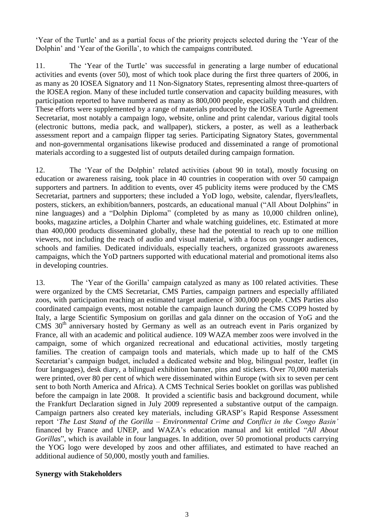"Year of the Turtle" and as a partial focus of the priority projects selected during the "Year of the Dolphin" and "Year of the Gorilla", to which the campaigns contributed.

11. The "Year of the Turtle" was successful in generating a large number of educational activities and events (over 50), most of which took place during the first three quarters of 2006, in as many as 20 IOSEA Signatory and 11 Non-Signatory States, representing almost three-quarters of the IOSEA region. Many of these included turtle conservation and capacity building measures, with participation reported to have numbered as many as 800,000 people, especially youth and children. These efforts were supplemented by a range of materials produced by the IOSEA Turtle Agreement Secretariat, most notably a campaign logo, website, online and print calendar, various digital tools (electronic buttons, media pack, and wallpaper), stickers, a poster, as well as a leatherback assessment report and a campaign flipper tag series. Participating Signatory States, governmental and non-governmental organisations likewise produced and disseminated a range of promotional materials according to a suggested list of outputs detailed during campaign formation.

12. The "Year of the Dolphin" related activities (about 90 in total), mostly focusing on education or awareness raising, took place in 40 countries in cooperation with over 50 campaign supporters and partners. In addition to events, over 45 publicity items were produced by the CMS Secretariat, partners and supporters; these included a YoD logo, website, calendar, flyers/leaflets, posters, stickers, an exhibition/banners, postcards, an educational manual ("All About Dolphins" in nine languages) and a "Dolphin Diploma" (completed by as many as 10,000 children online), books, magazine articles, a Dolphin Charter and whale watching guidelines, etc. Estimated at more than 400,000 products disseminated globally, these had the potential to reach up to one million viewers, not including the reach of audio and visual material, with a focus on younger audiences, schools and families. Dedicated individuals, especially teachers, organized grassroots awareness campaigns, which the YoD partners supported with educational material and promotional items also in developing countries.

13. The "Year of the Gorilla" campaign catalyzed as many as 100 related activities. These were organized by the CMS Secretariat, CMS Parties, campaign partners and especially affiliated zoos, with participation reaching an estimated target audience of 300,000 people. CMS Parties also coordinated campaign events, most notable the campaign launch during the CMS COP9 hosted by Italy, a large Scientific Symposium on gorillas and gala dinner on the occasion of YoG and the CMS  $30<sup>th</sup>$  anniversary hosted by Germany as well as an outreach event in Paris organized by France, all with an academic and political audience. 109 WAZA member zoos were involved in the campaign, some of which organized recreational and educational activities, mostly targeting families. The creation of campaign tools and materials, which made up to half of the CMS Secretariat's campaign budget, included a dedicated website and blog, bilingual poster, leaflet (in four languages), desk diary, a bilingual exhibition banner, pins and stickers. Over 70,000 materials were printed, over 80 per cent of which were disseminated within Europe (with six to seven per cent sent to both North America and Africa). A CMS Technical Series booklet on gorillas was published before the campaign in late 2008. It provided a scientific basis and background document, while the Frankfurt Declaration signed in July 2009 represented a substantive output of the campaign. Campaign partners also created key materials, including GRASP"s Rapid Response Assessment report "*The Last Stand of the Gorilla – Environmental Crime and Conflict in the Congo Basin'* financed by France and UNEP, and WAZA"s education manual and kit entitled "*All About Gorillas*", which is available in four languages. In addition, over 50 promotional products carrying the YOG logo were developed by zoos and other affiliates, and estimated to have reached an additional audience of 50,000, mostly youth and families.

#### **Synergy with Stakeholders**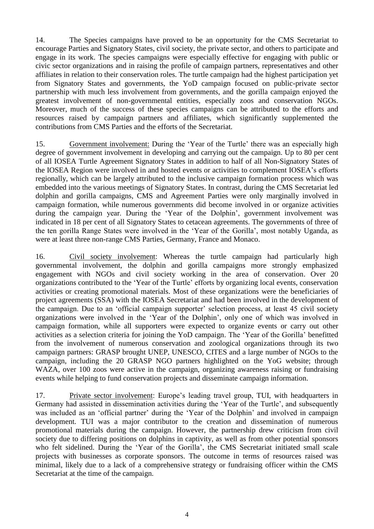14. The Species campaigns have proved to be an opportunity for the CMS Secretariat to encourage Parties and Signatory States, civil society, the private sector, and others to participate and engage in its work. The species campaigns were especially effective for engaging with public or civic sector organizations and in raising the profile of campaign partners, representatives and other affiliates in relation to their conservation roles. The turtle campaign had the highest participation yet from Signatory States and governments, the YoD campaign focused on public-private sector partnership with much less involvement from governments, and the gorilla campaign enjoyed the greatest involvement of non-governmental entities, especially zoos and conservation NGOs. Moreover, much of the success of these species campaigns can be attributed to the efforts and resources raised by campaign partners and affiliates, which significantly supplemented the contributions from CMS Parties and the efforts of the Secretariat.

15. Government involvement: During the "Year of the Turtle" there was an especially high degree of government involvement in developing and carrying out the campaign. Up to 80 per cent of all IOSEA Turtle Agreement Signatory States in addition to half of all Non-Signatory States of the IOSEA Region were involved in and hosted events or activities to complement IOSEA"s efforts regionally, which can be largely attributed to the inclusive campaign formation process which was embedded into the various meetings of Signatory States. In contrast, during the CMS Secretariat led dolphin and gorilla campaigns, CMS and Agreement Parties were only marginally involved in campaign formation, while numerous governments did become involved in or organize activities during the campaign year. During the 'Year of the Dolphin', government involvement was indicated in 18 per cent of all Signatory States to cetacean agreements. The governments of three of the ten gorilla Range States were involved in the "Year of the Gorilla", most notably Uganda, as were at least three non-range CMS Parties, Germany, France and Monaco.

16. Civil society involvement: Whereas the turtle campaign had particularly high governmental involvement, the dolphin and gorilla campaigns more strongly emphasized engagement with NGOs and civil society working in the area of conservation. Over 20 organizations contributed to the "Year of the Turtle" efforts by organizing local events, conservation activities or creating promotional materials. Most of these organizations were the beneficiaries of project agreements (SSA) with the IOSEA Secretariat and had been involved in the development of the campaign. Due to an 'official campaign supporter' selection process, at least 45 civil society organizations were involved in the "Year of the Dolphin", only one of which was involved in campaign formation, while all supporters were expected to organize events or carry out other activities as a selection criteria for joining the YoD campaign. The "Year of the Gorilla" benefitted from the involvement of numerous conservation and zoological organizations through its two campaign partners: GRASP brought UNEP, UNESCO, CITES and a large number of NGOs to the campaign, including the 20 GRASP NGO partners highlighted on the YoG website; through WAZA, over 100 zoos were active in the campaign, organizing awareness raising or fundraising events while helping to fund conservation projects and disseminate campaign information.

17. Private sector involvement: Europe"s leading travel group, TUI, with headquarters in Germany had assisted in dissemination activities during the "Year of the Turtle", and subsequently was included as an 'official partner' during the 'Year of the Dolphin' and involved in campaign development. TUI was a major contributor to the creation and dissemination of numerous promotional materials during the campaign. However, the partnership drew criticism from civil society due to differing positions on dolphins in captivity, as well as from other potential sponsors who felt sidelined. During the "Year of the Gorilla", the CMS Secretariat initiated small scale projects with businesses as corporate sponsors. The outcome in terms of resources raised was minimal, likely due to a lack of a comprehensive strategy or fundraising officer within the CMS Secretariat at the time of the campaign.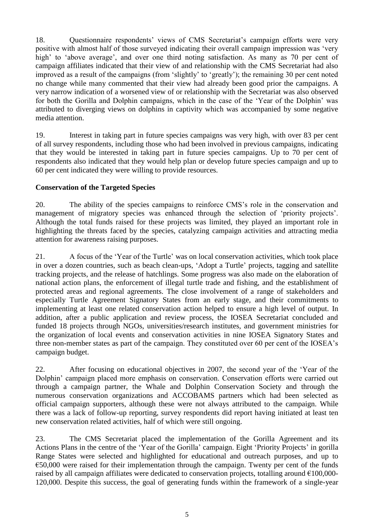18. Ouestionnaire respondents' views of CMS Secretariat's campaign efforts were very positive with almost half of those surveyed indicating their overall campaign impression was "very high' to 'above average', and over one third noting satisfaction. As many as 70 per cent of campaign affiliates indicated that their view of and relationship with the CMS Secretariat had also improved as a result of the campaigns (from "slightly" to "greatly"); the remaining 30 per cent noted no change while many commented that their view had already been good prior the campaigns. A very narrow indication of a worsened view of or relationship with the Secretariat was also observed for both the Gorilla and Dolphin campaigns, which in the case of the "Year of the Dolphin" was attributed to diverging views on dolphins in captivity which was accompanied by some negative media attention.

19. Interest in taking part in future species campaigns was very high, with over 83 per cent of all survey respondents, including those who had been involved in previous campaigns, indicating that they would be interested in taking part in future species campaigns. Up to 70 per cent of respondents also indicated that they would help plan or develop future species campaign and up to 60 per cent indicated they were willing to provide resources.

## **Conservation of the Targeted Species**

20. The ability of the species campaigns to reinforce CMS"s role in the conservation and management of migratory species was enhanced through the selection of 'priority projects'. Although the total funds raised for these projects was limited, they played an important role in highlighting the threats faced by the species, catalyzing campaign activities and attracting media attention for awareness raising purposes.

21. A focus of the "Year of the Turtle" was on local conservation activities, which took place in over a dozen countries, such as beach clean-ups, "Adopt a Turtle" projects, tagging and satellite tracking projects, and the release of hatchlings. Some progress was also made on the elaboration of national action plans, the enforcement of illegal turtle trade and fishing, and the establishment of protected areas and regional agreements. The close involvement of a range of stakeholders and especially Turtle Agreement Signatory States from an early stage, and their commitments to implementing at least one related conservation action helped to ensure a high level of output. In addition, after a public application and review process, the IOSEA Secretariat concluded and funded 18 projects through NGOs, universities/research institutes, and government ministries for the organization of local events and conservation activities in nine IOSEA Signatory States and three non-member states as part of the campaign. They constituted over 60 per cent of the IOSEA"s campaign budget.

22. After focusing on educational objectives in 2007, the second year of the "Year of the Dolphin" campaign placed more emphasis on conservation. Conservation efforts were carried out through a campaign partner, the Whale and Dolphin Conservation Society and through the numerous conservation organizations and ACCOBAMS partners which had been selected as official campaign supporters, although these were not always attributed to the campaign. While there was a lack of follow-up reporting, survey respondents did report having initiated at least ten new conservation related activities, half of which were still ongoing.

23. The CMS Secretariat placed the implementation of the Gorilla Agreement and its Actions Plans in the centre of the 'Year of the Gorilla' campaign. Eight 'Priority Projects' in gorilla Range States were selected and highlighted for educational and outreach purposes, and up to  $\epsilon$ 50,000 were raised for their implementation through the campaign. Twenty per cent of the funds raised by all campaign affiliates were dedicated to conservation projects, totalling around €100,000- 120,000. Despite this success, the goal of generating funds within the framework of a single-year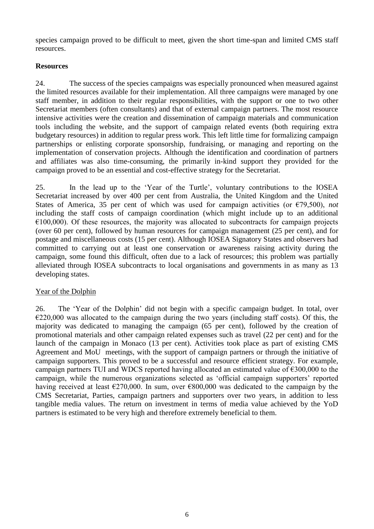species campaign proved to be difficult to meet, given the short time-span and limited CMS staff resources.

## **Resources**

24. The success of the species campaigns was especially pronounced when measured against the limited resources available for their implementation. All three campaigns were managed by one staff member, in addition to their regular responsibilities, with the support or one to two other Secretariat members (often consultants) and that of external campaign partners. The most resource intensive activities were the creation and dissemination of campaign materials and communication tools including the website, and the support of campaign related events (both requiring extra budgetary resources) in addition to regular press work. This left little time for formalizing campaign partnerships or enlisting corporate sponsorship, fundraising, or managing and reporting on the implementation of conservation projects. Although the identification and coordination of partners and affiliates was also time-consuming, the primarily in-kind support they provided for the campaign proved to be an essential and cost-effective strategy for the Secretariat.

25. In the lead up to the "Year of the Turtle", voluntary contributions to the IOSEA Secretariat increased by over 400 per cent from Australia, the United Kingdom and the United States of America, 35 per cent of which was used for campaign activities (or €79,500), *not*  including the staff costs of campaign coordination (which might include up to an additional  $\epsilon$ 100,000). Of these resources, the majority was allocated to subcontracts for campaign projects (over 60 per cent), followed by human resources for campaign management (25 per cent), and for postage and miscellaneous costs (15 per cent). Although IOSEA Signatory States and observers had committed to carrying out at least one conservation or awareness raising activity during the campaign, some found this difficult, often due to a lack of resources; this problem was partially alleviated through IOSEA subcontracts to local organisations and governments in as many as 13 developing states.

## Year of the Dolphin

26. The "Year of the Dolphin" did not begin with a specific campaign budget. In total, over  $\epsilon$ 220,000 was allocated to the campaign during the two years (including staff costs). Of this, the majority was dedicated to managing the campaign (65 per cent), followed by the creation of promotional materials and other campaign related expenses such as travel (22 per cent) and for the launch of the campaign in Monaco (13 per cent). Activities took place as part of existing CMS Agreement and MoU meetings, with the support of campaign partners or through the initiative of campaign supporters. This proved to be a successful and resource efficient strategy. For example, campaign partners TUI and WDCS reported having allocated an estimated value of €300,000 to the campaign, while the numerous organizations selected as 'official campaign supporters' reported having received at least  $\epsilon$ 270,000. In sum, over  $\epsilon$ 800,000 was dedicated to the campaign by the CMS Secretariat, Parties, campaign partners and supporters over two years, in addition to less tangible media values. The return on investment in terms of media value achieved by the YoD partners is estimated to be very high and therefore extremely beneficial to them.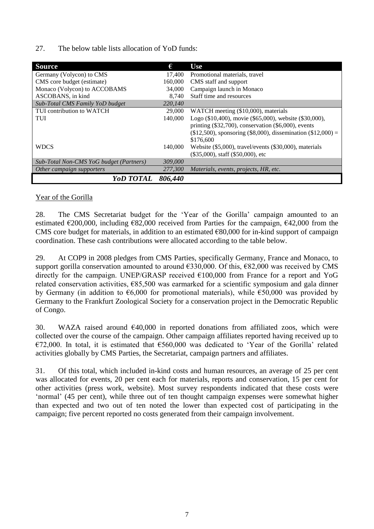27. The below table lists allocation of YoD funds:

| <b>Source</b>                           | €       | <b>Use</b>                                                                                                                                                                                               |
|-----------------------------------------|---------|----------------------------------------------------------------------------------------------------------------------------------------------------------------------------------------------------------|
| Germany (Volycon) to CMS                | 17,400  | Promotional materials, travel                                                                                                                                                                            |
| CMS core budget (estimate)              | 160,000 | CMS staff and support                                                                                                                                                                                    |
| Monaco (Volycon) to ACCOBAMS            | 34,000  | Campaign launch in Monaco                                                                                                                                                                                |
| ASCOBANS, in kind                       | 8.740   | Staff time and resources                                                                                                                                                                                 |
| Sub-Total CMS Family YoD budget         | 220,140 |                                                                                                                                                                                                          |
| TUI contribution to WATCH               | 29,000  | WATCH meeting (\$10,000), materials                                                                                                                                                                      |
| TUI                                     | 140,000 | Logo (\$10,400), movie (\$65,000), website (\$30,000),<br>printing $(\$32,700)$ , conservation $(\$6,000)$ , events<br>$(\$12,500)$ , sponsoring $(\$8,000)$ , dissemination $(\$12,000) =$<br>\$176,600 |
| <b>WDCS</b>                             | 140,000 | Website (\$5,000), travel/events (\$30,000), materials<br>$(\$35,000)$ , staff $(\$50,000)$ , etc                                                                                                        |
| Sub-Total Non-CMS YoG budget (Partners) | 309,000 |                                                                                                                                                                                                          |
| Other campaign supporters               | 277,300 | Materials, events, projects, HR, etc.                                                                                                                                                                    |
| <i>YoD TOTAL</i>                        | 806,440 |                                                                                                                                                                                                          |

## Year of the Gorilla

28. The CMS Secretariat budget for the "Year of the Gorilla" campaign amounted to an estimated  $\epsilon$ 200,000, including  $\epsilon$ 82,000 received from Parties for the campaign,  $\epsilon$ 42,000 from the CMS core budget for materials, in addition to an estimated  $\epsilon$ 80,000 for in-kind support of campaign coordination. These cash contributions were allocated according to the table below.

29. At COP9 in 2008 pledges from CMS Parties, specifically Germany, France and Monaco, to support gorilla conservation amounted to around €330,000. Of this, €82,000 was received by CMS directly for the campaign. UNEP/GRASP received €100,000 from France for a report and YoG related conservation activities,  $E$ 85,500 was earmarked for a scientific symposium and gala dinner by Germany (in addition to  $\epsilon$ 6,000 for promotional materials), while  $\epsilon$ 50,000 was provided by Germany to the Frankfurt Zoological Society for a conservation project in the Democratic Republic of Congo.

30. WAZA raised around  $\epsilon$ 40,000 in reported donations from affiliated zoos, which were collected over the course of the campaign. Other campaign affiliates reported having received up to €72,000. In total, it is estimated that €560,000 was dedicated to "Year of the Gorilla" related activities globally by CMS Parties, the Secretariat, campaign partners and affiliates.

31. Of this total, which included in-kind costs and human resources, an average of 25 per cent was allocated for events, 20 per cent each for materials, reports and conservation, 15 per cent for other activities (press work, website). Most survey respondents indicated that these costs were 'normal' (45 per cent), while three out of ten thought campaign expenses were somewhat higher than expected and two out of ten noted the lower than expected cost of participating in the campaign; five percent reported no costs generated from their campaign involvement.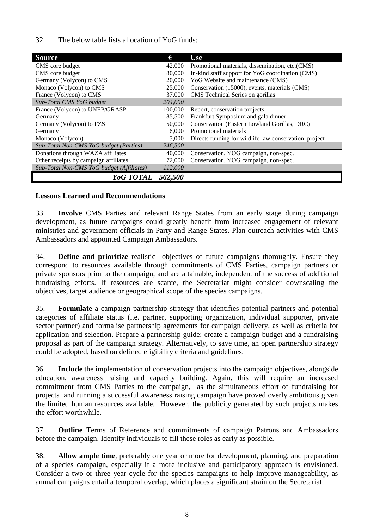32. The below table lists allocation of YoG funds:

| <b>Source</b>                             | €       | <b>Use</b>                                            |
|-------------------------------------------|---------|-------------------------------------------------------|
| CMS core budget                           | 42,000  | Promotional materials, dissemination, etc. (CMS)      |
| CMS core budget                           | 80,000  | In-kind staff support for YoG coordination (CMS)      |
| Germany (Volycon) to CMS                  | 20,000  | YoG Website and maintenance (CMS)                     |
| Monaco (Volycon) to CMS                   | 25,000  | Conservation (15000), events, materials (CMS)         |
| France (Volycon) to CMS                   | 37,000  | CMS Technical Series on gorillas                      |
| Sub-Total CMS YoG budget                  | 204,000 |                                                       |
| France (Volycon) to UNEP/GRASP            | 100,000 | Report, conservation projects                         |
| Germany                                   | 85,500  | Frankfurt Symposium and gala dinner                   |
| Germany (Volycon) to FZS                  | 50,000  | Conservation (Eastern Lowland Gorillas, DRC)          |
| Germany                                   | 6.000   | Promotional materials                                 |
| Monaco (Volycon)                          | 5,000   | Directs funding for wildlife law conservation project |
| Sub-Total Non-CMS YoG budget (Parties)    | 246,500 |                                                       |
| Donations through WAZA affiliates         | 40,000  | Conservation, YOG campaign, non-spec.                 |
| Other receipts by campaign affiliates     | 72,000  | Conservation, YOG campaign, non-spec.                 |
| Sub-Total Non-CMS YoG budget (Affiliates) | 112,000 |                                                       |
| Yog TOTAL                                 | 562,500 |                                                       |

#### **Lessons Learned and Recommendations**

33. **Involve** CMS Parties and relevant Range States from an early stage during campaign development, as future campaigns could greatly benefit from increased engagement of relevant ministries and government officials in Party and Range States. Plan outreach activities with CMS Ambassadors and appointed Campaign Ambassadors.

34. **Define and prioritize** realistic objectives of future campaigns thoroughly. Ensure they correspond to resources available through commitments of CMS Parties, campaign partners or private sponsors prior to the campaign, and are attainable, independent of the success of additional fundraising efforts. If resources are scarce, the Secretariat might consider downscaling the objectives, target audience or geographical scope of the species campaigns.

35. **Formulate** a campaign partnership strategy that identifies potential partners and potential categories of affiliate status (i.e. partner, supporting organization, individual supporter, private sector partner) and formalise partnership agreements for campaign delivery, as well as criteria for application and selection. Prepare a partnership guide; create a campaign budget and a fundraising proposal as part of the campaign strategy. Alternatively, to save time, an open partnership strategy could be adopted, based on defined eligibility criteria and guidelines.

36. **Include** the implementation of conservation projects into the campaign objectives, alongside education, awareness raising and capacity building. Again, this will require an increased commitment from CMS Parties to the campaign, as the simultaneous effort of fundraising for projects and running a successful awareness raising campaign have proved overly ambitious given the limited human resources available. However, the publicity generated by such projects makes the effort worthwhile.

37. **Outline** Terms of Reference and commitments of campaign Patrons and Ambassadors before the campaign. Identify individuals to fill these roles as early as possible.

38. **Allow ample time**, preferably one year or more for development, planning, and preparation of a species campaign, especially if a more inclusive and participatory approach is envisioned. Consider a two or three year cycle for the species campaigns to help improve manageability, as annual campaigns entail a temporal overlap, which places a significant strain on the Secretariat.